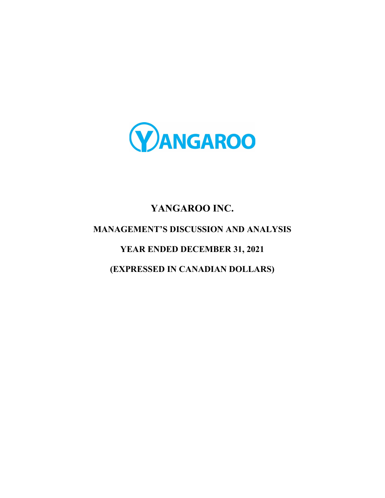

# YANGAROO INC. MANAGEMENT'S DISCUSSION AND ANALYSIS YEAR ENDED DECEMBER 31, 2021 (EXPRESSED IN CANADIAN DOLLARS)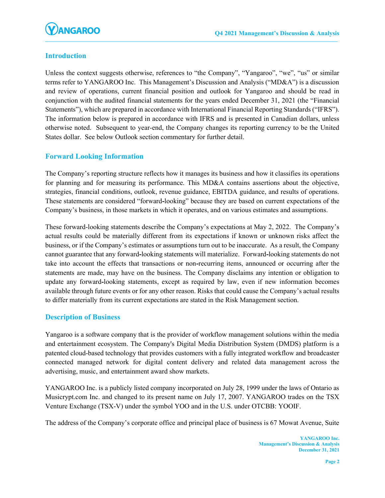# Introduction

Unless the context suggests otherwise, references to "the Company", "Yangaroo", "we", "us" or similar terms refer to YANGAROO Inc. This Management's Discussion and Analysis ("MD&A") is a discussion and review of operations, current financial position and outlook for Yangaroo and should be read in conjunction with the audited financial statements for the years ended December 31, 2021 (the "Financial Statements"), which are prepared in accordance with International Financial Reporting Standards ("IFRS"). The information below is prepared in accordance with IFRS and is presented in Canadian dollars, unless otherwise noted. Subsequent to year-end, the Company changes its reporting currency to be the United States dollar. See below Outlook section commentary for further detail.

# Forward Looking Information

The Company's reporting structure reflects how it manages its business and how it classifies its operations for planning and for measuring its performance. This MD&A contains assertions about the objective, strategies, financial conditions, outlook, revenue guidance, EBITDA guidance, and results of operations. These statements are considered "forward-looking" because they are based on current expectations of the Company's business, in those markets in which it operates, and on various estimates and assumptions.

These forward-looking statements describe the Company's expectations at May 2, 2022. The Company's actual results could be materially different from its expectations if known or unknown risks affect the business, or if the Company's estimates or assumptions turn out to be inaccurate. As a result, the Company cannot guarantee that any forward-looking statements will materialize. Forward-looking statements do not take into account the effects that transactions or non-recurring items, announced or occurring after the statements are made, may have on the business. The Company disclaims any intention or obligation to update any forward-looking statements, except as required by law, even if new information becomes available through future events or for any other reason. Risks that could cause the Company's actual results to differ materially from its current expectations are stated in the Risk Management section.

# Description of Business

Yangaroo is a software company that is the provider of workflow management solutions within the media and entertainment ecosystem. The Company's Digital Media Distribution System (DMDS) platform is a patented cloud-based technology that provides customers with a fully integrated workflow and broadcaster connected managed network for digital content delivery and related data management across the advertising, music, and entertainment award show markets.

YANGAROO Inc. is a publicly listed company incorporated on July 28, 1999 under the laws of Ontario as Musicrypt.com Inc. and changed to its present name on July 17, 2007. YANGAROO trades on the TSX Venture Exchange (TSX-V) under the symbol YOO and in the U.S. under OTCBB: YOOIF.

The address of the Company's corporate office and principal place of business is 67 Mowat Avenue, Suite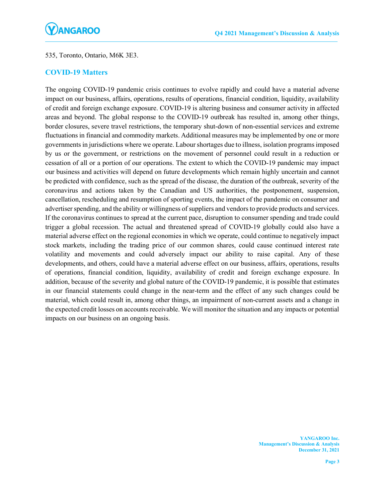### 535, Toronto, Ontario, M6K 3E3.

# COVID-19 Matters

The ongoing COVID-19 pandemic crisis continues to evolve rapidly and could have a material adverse impact on our business, affairs, operations, results of operations, financial condition, liquidity, availability of credit and foreign exchange exposure. COVID-19 is altering business and consumer activity in affected areas and beyond. The global response to the COVID-19 outbreak has resulted in, among other things, border closures, severe travel restrictions, the temporary shut-down of non-essential services and extreme fluctuations in financial and commodity markets. Additional measures may be implemented by one or more governments in jurisdictions where we operate. Labour shortages due to illness, isolation programs imposed by us or the government, or restrictions on the movement of personnel could result in a reduction or cessation of all or a portion of our operations. The extent to which the COVID-19 pandemic may impact our business and activities will depend on future developments which remain highly uncertain and cannot be predicted with confidence, such as the spread of the disease, the duration of the outbreak, severity of the coronavirus and actions taken by the Canadian and US authorities, the postponement, suspension, cancellation, rescheduling and resumption of sporting events, the impact of the pandemic on consumer and advertiser spending, and the ability or willingness of suppliers and vendors to provide products and services. If the coronavirus continues to spread at the current pace, disruption to consumer spending and trade could trigger a global recession. The actual and threatened spread of COVID-19 globally could also have a material adverse effect on the regional economies in which we operate, could continue to negatively impact stock markets, including the trading price of our common shares, could cause continued interest rate volatility and movements and could adversely impact our ability to raise capital. Any of these developments, and others, could have a material adverse effect on our business, affairs, operations, results of operations, financial condition, liquidity, availability of credit and foreign exchange exposure. In addition, because of the severity and global nature of the COVID-19 pandemic, it is possible that estimates in our financial statements could change in the near-term and the effect of any such changes could be material, which could result in, among other things, an impairment of non-current assets and a change in the expected credit losses on accounts receivable. We will monitor the situation and any impacts or potential impacts on our business on an ongoing basis.

> YANGAROO Inc. Management's Discussion & Analysis December 31, 2021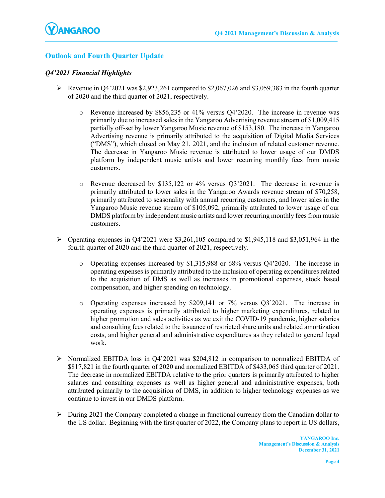# Outlook and Fourth Quarter Update

#### Q4'2021 Financial Highlights

- Revenue in Q4'2021 was \$2,923,261 compared to \$2,067,026 and \$3,059,383 in the fourth quarter of 2020 and the third quarter of 2021, respectively.
	- o Revenue increased by \$856,235 or 41% versus Q4'2020. The increase in revenue was primarily due to increased sales in the Yangaroo Advertising revenue stream of \$1,009,415 partially off-set by lower Yangaroo Music revenue of \$153,180. The increase in Yangaroo Advertising revenue is primarily attributed to the acquisition of Digital Media Services ("DMS"), which closed on May 21, 2021, and the inclusion of related customer revenue. The decrease in Yangaroo Music revenue is attributed to lower usage of our DMDS platform by independent music artists and lower recurring monthly fees from music customers.
	- o Revenue decreased by \$135,122 or 4% versus Q3'2021. The decrease in revenue is primarily attributed to lower sales in the Yangaroo Awards revenue stream of \$70,258, primarily attributed to seasonality with annual recurring customers, and lower sales in the Yangaroo Music revenue stream of \$105,092, primarily attributed to lower usage of our DMDS platform by independent music artists and lower recurring monthly fees from music customers.
- Operating expenses in Q4'2021 were \$3,261,105 compared to \$1,945,118 and \$3,051,964 in the fourth quarter of 2020 and the third quarter of 2021, respectively.
	- o Operating expenses increased by \$1,315,988 or 68% versus Q4'2020. The increase in operating expenses is primarily attributed to the inclusion of operating expenditures related to the acquisition of DMS as well as increases in promotional expenses, stock based compensation, and higher spending on technology.
	- o Operating expenses increased by \$209,141 or 7% versus Q3'2021. The increase in operating expenses is primarily attributed to higher marketing expenditures, related to higher promotion and sales activities as we exit the COVID-19 pandemic, higher salaries and consulting fees related to the issuance of restricted share units and related amortization costs, and higher general and administrative expenditures as they related to general legal work.
- $\triangleright$  Normalized EBITDA loss in Q4'2021 was \$204,812 in comparison to normalized EBITDA of \$817,821 in the fourth quarter of 2020 and normalized EBITDA of \$433,065 third quarter of 2021. The decrease in normalized EBITDA relative to the prior quarters is primarily attributed to higher salaries and consulting expenses as well as higher general and administrative expenses, both attributed primarily to the acquisition of DMS, in addition to higher technology expenses as we continue to invest in our DMDS platform.
- $\triangleright$  During 2021 the Company completed a change in functional currency from the Canadian dollar to the US dollar. Beginning with the first quarter of 2022, the Company plans to report in US dollars,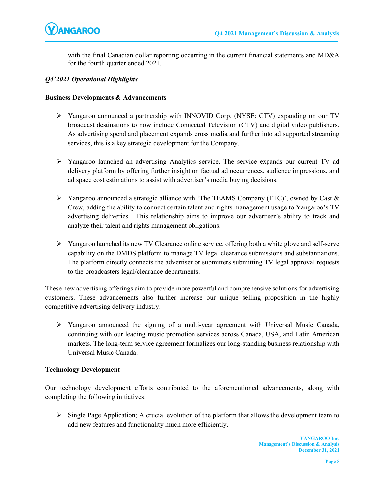

with the final Canadian dollar reporting occurring in the current financial statements and MD&A for the fourth quarter ended 2021.

#### Q4'2021 Operational Highlights

#### Business Developments & Advancements

- Yangaroo announced a partnership with INNOVID Corp. (NYSE: CTV) expanding on our TV broadcast destinations to now include Connected Television (CTV) and digital video publishers. As advertising spend and placement expands cross media and further into ad supported streaming services, this is a key strategic development for the Company.
- Yangaroo launched an advertising Analytics service. The service expands our current TV ad delivery platform by offering further insight on factual ad occurrences, audience impressions, and ad space cost estimations to assist with advertiser's media buying decisions.
- $\triangleright$  Yangaroo announced a strategic alliance with 'The TEAMS Company (TTC)', owned by Cast & Crew, adding the ability to connect certain talent and rights management usage to Yangaroo's TV advertising deliveries. This relationship aims to improve our advertiser's ability to track and analyze their talent and rights management obligations.
- $\triangleright$  Yangaroo launched its new TV Clearance online service, offering both a white glove and self-serve capability on the DMDS platform to manage TV legal clearance submissions and substantiations. The platform directly connects the advertiser or submitters submitting TV legal approval requests to the broadcasters legal/clearance departments.

These new advertising offerings aim to provide more powerful and comprehensive solutions for advertising customers. These advancements also further increase our unique selling proposition in the highly competitive advertising delivery industry.

 Yangaroo announced the signing of a multi-year agreement with Universal Music Canada, continuing with our leading music promotion services across Canada, USA, and Latin American markets. The long-term service agreement formalizes our long-standing business relationship with Universal Music Canada.

#### Technology Development

Our technology development efforts contributed to the aforementioned advancements, along with completing the following initiatives:

 $\triangleright$  Single Page Application; A crucial evolution of the platform that allows the development team to add new features and functionality much more efficiently.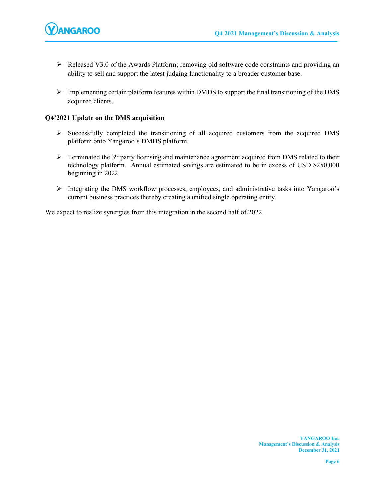- Released V3.0 of the Awards Platform; removing old software code constraints and providing an ability to sell and support the latest judging functionality to a broader customer base.
- $\triangleright$  Implementing certain platform features within DMDS to support the final transitioning of the DMS acquired clients.

#### Q4'2021 Update on the DMS acquisition

- $\triangleright$  Successfully completed the transitioning of all acquired customers from the acquired DMS platform onto Yangaroo's DMDS platform.
- $\triangleright$  Terminated the 3<sup>rd</sup> party licensing and maintenance agreement acquired from DMS related to their technology platform. Annual estimated savings are estimated to be in excess of USD \$250,000 beginning in 2022.
- Integrating the DMS workflow processes, employees, and administrative tasks into Yangaroo's current business practices thereby creating a unified single operating entity.

We expect to realize synergies from this integration in the second half of 2022.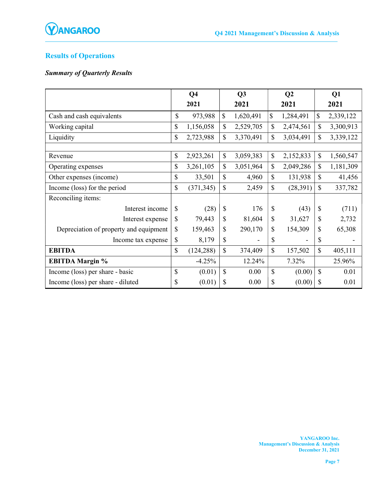

# Results of Operations

# Summary of Quarterly Results

|                                        |              | Q <sub>4</sub> |    | Q3        |                    | Q <sub>2</sub> |                           | Q1        |
|----------------------------------------|--------------|----------------|----|-----------|--------------------|----------------|---------------------------|-----------|
|                                        |              | 2021           |    | 2021      |                    | 2021           |                           | 2021      |
| Cash and cash equivalents              | $\mathbb{S}$ | 973,988        | \$ | 1,620,491 | \$                 | 1,284,491      | $\mathbb{S}$              | 2,339,122 |
| Working capital                        | \$           | 1,156,058      | \$ | 2,529,705 | $\mathbf{\hat{S}}$ | 2,474,561      | \$                        | 3,300,913 |
| Liquidity                              | \$           | 2,723,988      | \$ | 3,370,491 | \$                 | 3,034,491      | \$                        | 3,339,122 |
|                                        |              |                |    |           |                    |                |                           |           |
| Revenue                                | \$           | 2,923,261      | \$ | 3,059,383 | $\mathbb{S}$       | 2,152,833      | $\boldsymbol{\mathsf{S}}$ | 1,560,547 |
| Operating expenses                     | \$           | 3,261,105      | \$ | 3,051,964 | \$                 | 2,049,286      | \$                        | 1,181,309 |
| Other expenses (income)                | \$           | 33,501         | \$ | 4,960     | $\mathbb{S}$       | 131,938        | $\mathbf S$               | 41,456    |
| Income (loss) for the period           | \$           | (371, 345)     | \$ | 2,459     | \$                 | (28, 391)      | \$                        | 337,782   |
| Reconciling items:                     |              |                |    |           |                    |                |                           |           |
| Interest income                        | \$           | (28)           | \$ | 176       | \$                 | (43)           | $\mathcal{S}$             | (711)     |
| Interest expense                       | \$           | 79,443         | \$ | 81,604    | \$                 | 31,627         | \$                        | 2,732     |
| Depreciation of property and equipment | \$           | 159,463        | \$ | 290,170   | \$                 | 154,309        | \$                        | 65,308    |
| Income tax expense                     | \$           | 8,179          | \$ |           | \$                 |                | \$                        |           |
| <b>EBITDA</b>                          | \$           | (124, 288)     | \$ | 374,409   | \$                 | 157,502        | \$                        | 405,111   |
| <b>EBITDA Margin %</b>                 |              | $-4.25%$       |    | 12.24%    |                    | 7.32%          |                           | 25.96%    |
| Income (loss) per share - basic        | \$           | (0.01)         | \$ | 0.00      | \$                 | (0.00)         | $\mathbf S$               | 0.01      |
| Income (loss) per share - diluted      | \$           | (0.01)         | \$ | 0.00      | \$                 | (0.00)         | \$                        | 0.01      |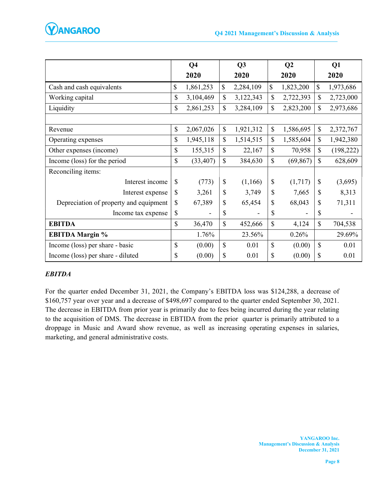

|                                        |              | Q <sub>4</sub> |    | Q3        | Q <sub>2</sub> |           | Q1            |            |
|----------------------------------------|--------------|----------------|----|-----------|----------------|-----------|---------------|------------|
|                                        |              | 2020           |    | 2020      |                | 2020      |               | 2020       |
| Cash and cash equivalents              | \$           | 1,861,253      | \$ | 2,284,109 | \$             | 1,823,200 | $\mathbb{S}$  | 1,973,686  |
| Working capital                        | \$           | 3,104,469      | \$ | 3,122,343 | $\mathbb{S}$   | 2,722,393 | $\mathcal{S}$ | 2,723,000  |
| Liquidity                              | $\mathbb{S}$ | 2,861,253      | \$ | 3,284,109 | $\mathbb{S}$   | 2,823,200 | $\mathcal{S}$ | 2,973,686  |
|                                        |              |                |    |           |                |           |               |            |
| Revenue                                | \$           | 2,067,026      | \$ | 1,921,312 | \$             | 1,586,695 | $\mathcal{S}$ | 2,372,767  |
| Operating expenses                     | \$           | 1,945,118      | \$ | 1,514,515 | $\mathbb{S}$   | 1,585,604 | $\mathbb{S}$  | 1,942,380  |
| Other expenses (income)                | \$           | 155,315        | \$ | 22,167    | $\mathcal{S}$  | 70,958    | $\mathbb{S}$  | (198, 222) |
| Income (loss) for the period           | $\mathbf S$  | (33, 407)      | \$ | 384,630   | $\mathcal{S}$  | (69, 867) | $\mathcal{S}$ | 628,609    |
| Reconciling items:                     |              |                |    |           |                |           |               |            |
| Interest income                        | \$           | (773)          | \$ | (1,166)   | \$             | (1,717)   | \$            | (3,695)    |
| Interest expense                       | \$           | 3,261          | \$ | 3,749     | \$             | 7,665     | $\mathcal{S}$ | 8,313      |
| Depreciation of property and equipment | \$           | 67,389         | \$ | 65,454    | \$             | 68,043    | $\mathbb{S}$  | 71,311     |
| Income tax expense                     | \$           |                | \$ | -         | \$             |           | $\mathcal{S}$ |            |
| <b>EBITDA</b>                          | $\mathbf S$  | 36,470         | \$ | 452,666   | $\mathbb{S}$   | 4,124     | $\mathbf S$   | 704,538    |
| <b>EBITDA Margin %</b>                 |              | 1.76%          |    | 23.56%    |                | 0.26%     |               | 29.69%     |
| Income (loss) per share - basic        | \$           | (0.00)         | \$ | 0.01      | $\mathbb{S}$   | (0.00)    | $\mathcal{S}$ | 0.01       |
| Income (loss) per share - diluted      | \$           | (0.00)         | \$ | 0.01      | \$             | (0.00)    | \$            | 0.01       |

# EBITDA

For the quarter ended December 31, 2021, the Company's EBITDA loss was \$124,288, a decrease of \$160,757 year over year and a decrease of \$498,697 compared to the quarter ended September 30, 2021. The decrease in EBITDA from prior year is primarily due to fees being incurred during the year relating to the acquisition of DMS. The decrease in EBTIDA from the prior quarter is primarily attributed to a droppage in Music and Award show revenue, as well as increasing operating expenses in salaries, marketing, and general administrative costs.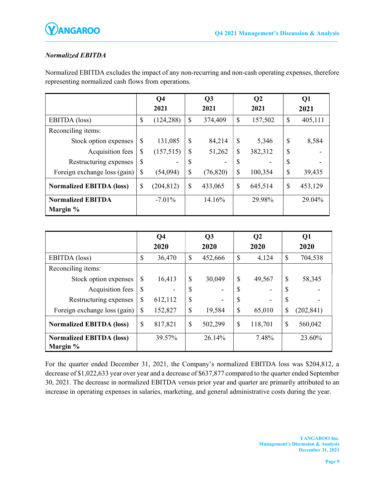

# Normalized EBITDA

Normalized EBITDA excludes the impact of any non-recurring and non-cash operating expenses, therefore representing normalized cash flows from operations.

|                                 | Q <sub>4</sub><br>2021 |            |               | Q3<br>2021 |    | Q <sub>2</sub><br>2021 |               | Q1<br>2021 |
|---------------------------------|------------------------|------------|---------------|------------|----|------------------------|---------------|------------|
| EBITDA (loss)                   | \$                     | (124, 288) | \$            | 374,409    | \$ | 157,502                | \$            | 405,111    |
| Reconciling items:              |                        |            |               |            |    |                        |               |            |
| Stock option expenses           | \$                     | 131,085    | \$            | 84,214     | \$ | 5,346                  | \$            | 8,584      |
| Acquisition fees                | \$                     | (157,515)  | \$            | 51,262     | \$ | 382,312                | \$            |            |
| Restructuring expenses          | \$                     |            | \$            |            | \$ |                        | \$            |            |
| Foreign exchange loss (gain)    | \$                     | (54,094)   | \$            | (76, 820)  | \$ | 100,354                | \$            | 39,435     |
| <b>Normalized EBITDA (loss)</b> | \$                     | (204, 812) | $\mathcal{S}$ | 433,065    | \$ | 645,514                | $\mathcal{S}$ | 453,129    |
| <b>Normalized EBITDA</b>        |                        | $-7.01\%$  |               | 14.16%     |    | 29.98%                 |               | 29.04%     |
| Margin %                        |                        |            |               |            |    |                        |               |            |

|                                             | Q <sub>4</sub> |         |              | Q3      |               | Q <sub>2</sub> | Q1            |            |  |
|---------------------------------------------|----------------|---------|--------------|---------|---------------|----------------|---------------|------------|--|
|                                             |                | 2020    |              | 2020    |               | 2020           |               | 2020       |  |
| EBITDA (loss)                               | \$             | 36,470  | $\mathbb{S}$ | 452,666 | \$            | 4,124          | \$            | 704,538    |  |
| Reconciling items:                          |                |         |              |         |               |                |               |            |  |
| Stock option expenses                       | $\mathcal{S}$  | 16,413  | \$           | 30,049  | $\mathcal{S}$ | 49,567         | $\mathcal{S}$ | 58,345     |  |
| Acquisition fees                            | \$             |         | \$           |         | \$            |                | \$            |            |  |
| Restructuring expenses                      | \$             | 612,112 | \$           |         | \$            |                | $\mathcal{S}$ |            |  |
| Foreign exchange loss (gain)                | $\mathcal{S}$  | 152,827 | \$           | 19,584  | $\mathcal{S}$ | 65,010         | \$            | (202, 841) |  |
| <b>Normalized EBITDA (loss)</b>             | \$             | 817,821 | \$           | 502,299 | \$            | 118,701        | $\mathcal{S}$ | 560,042    |  |
| <b>Normalized EBITDA (loss)</b><br>Margin % |                | 39.57%  |              | 26.14%  |               | 7.48%          |               | 23.60%     |  |

For the quarter ended December 31, 2021, the Company's normalized EBITDA loss was \$204,812, a decrease of \$1,022,633 year over year and a decrease of \$637,877 compared to the quarter ended September 30, 2021. The decrease in normalized EBITDA versus prior year and quarter are primarily attributed to an increase in operating expenses in salaries, marketing, and general administrative costs during the year.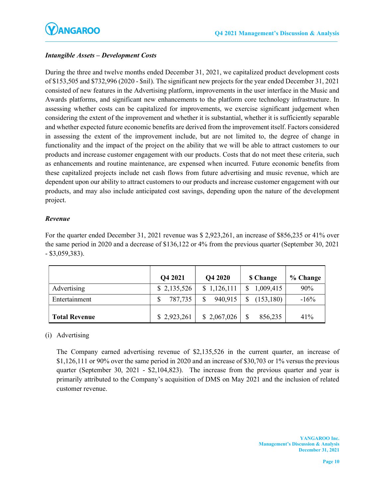# Intangible Assets – Development Costs

During the three and twelve months ended December 31, 2021, we capitalized product development costs of \$153,505 and \$732,996 (2020 - \$nil). The significant new projects for the year ended December 31, 2021 consisted of new features in the Advertising platform, improvements in the user interface in the Music and Awards platforms, and significant new enhancements to the platform core technology infrastructure. In assessing whether costs can be capitalized for improvements, we exercise significant judgement when considering the extent of the improvement and whether it is substantial, whether it is sufficiently separable and whether expected future economic benefits are derived from the improvement itself. Factors considered in assessing the extent of the improvement include, but are not limited to, the degree of change in functionality and the impact of the project on the ability that we will be able to attract customers to our products and increase customer engagement with our products. Costs that do not meet these criteria, such as enhancements and routine maintenance, are expensed when incurred. Future economic benefits from these capitalized projects include net cash flows from future advertising and music revenue, which are dependent upon our ability to attract customers to our products and increase customer engagement with our products, and may also include anticipated cost savings, depending upon the nature of the development project.

### Revenue

For the quarter ended December 31, 2021 revenue was \$ 2,923,261, an increase of \$856,235 or 41% over the same period in 2020 and a decrease of \$136,122 or 4% from the previous quarter (September 30, 2021 - \$3,059,383).

|                      | Q4 2021     | Q4 2020     | <b>S</b> Change | % Change |
|----------------------|-------------|-------------|-----------------|----------|
| Advertising          | \$2,135,526 | \$1,126,111 | 1,009,415       | 90%      |
| Entertainment        | 787,735     | 940,915     | (153, 180)      | $-16%$   |
| <b>Total Revenue</b> | \$2,923,261 | \$2,067,026 | 856,235         | 41%      |

# (i) Advertising

The Company earned advertising revenue of \$2,135,526 in the current quarter, an increase of \$1,126,111 or 90% over the same period in 2020 and an increase of \$30,703 or 1% versus the previous quarter (September 30, 2021 - \$2,104,823). The increase from the previous quarter and year is primarily attributed to the Company's acquisition of DMS on May 2021 and the inclusion of related customer revenue.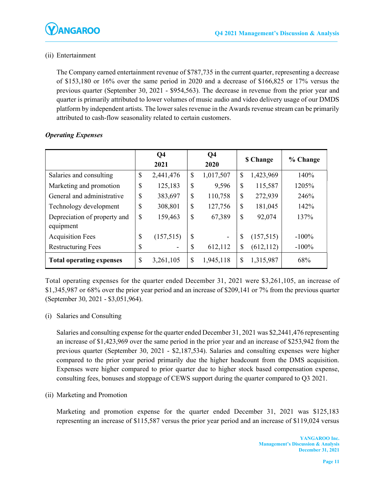# (ii) Entertainment

The Company earned entertainment revenue of \$787,735 in the current quarter, representing a decrease of \$153,180 or 16% over the same period in 2020 and a decrease of \$166,825 or 17% versus the previous quarter (September 30, 2021 - \$954,563). The decrease in revenue from the prior year and quarter is primarily attributed to lower volumes of music audio and video delivery usage of our DMDS platform by independent artists. The lower sales revenue in the Awards revenue stream can be primarily attributed to cash-flow seasonality related to certain customers.

|                                           | Q <sub>4</sub><br>2021 |           | Q <sub>4</sub><br>2020 |                          | <b>\$ Change</b>          |            | % Change |
|-------------------------------------------|------------------------|-----------|------------------------|--------------------------|---------------------------|------------|----------|
| Salaries and consulting                   | \$                     | 2,441,476 | $\mathbb{S}$           | 1,017,507                | $\boldsymbol{\mathsf{S}}$ | 1,423,969  | 140%     |
| Marketing and promotion                   | \$                     | 125,183   | \$                     | 9,596                    | $\mathcal{S}$             | 115,587    | 1205%    |
| General and administrative                | \$                     | 383,697   | $\mathcal{S}$          | 110,758                  | $\mathcal{S}$             | 272,939    | 246%     |
| Technology development                    | \$                     | 308,801   | \$                     | 127,756                  | \$                        | 181,045    | 142%     |
| Depreciation of property and<br>equipment | \$                     | 159,463   | $\mathbb{S}$           | 67,389                   | $\mathcal{S}$             | 92,074     | 137%     |
| <b>Acquisition Fees</b>                   | \$                     | (157,515) | $\mathcal{S}$          | $\overline{\phantom{a}}$ | \$                        | (157,515)  | $-100\%$ |
| <b>Restructuring Fees</b>                 | \$                     |           | \$                     | 612,112                  | \$                        | (612, 112) | $-100%$  |
| <b>Total operating expenses</b>           | \$                     | 3,261,105 | \$                     | 1,945,118                | \$                        | 1,315,987  | 68%      |

# Operating Expenses

Total operating expenses for the quarter ended December 31, 2021 were \$3,261,105, an increase of \$1,345,987 or 68% over the prior year period and an increase of \$209,141 or 7% from the previous quarter (September 30, 2021 - \$3,051,964).

# (i) Salaries and Consulting

Salaries and consulting expense for the quarter ended December 31, 2021 was \$2,2441,476 representing an increase of \$1,423,969 over the same period in the prior year and an increase of \$253,942 from the previous quarter (September 30, 2021 - \$2,187,534). Salaries and consulting expenses were higher compared to the prior year period primarily due the higher headcount from the DMS acquisition. Expenses were higher compared to prior quarter due to higher stock based compensation expense, consulting fees, bonuses and stoppage of CEWS support during the quarter compared to Q3 2021.

(ii) Marketing and Promotion

Marketing and promotion expense for the quarter ended December 31, 2021 was \$125,183 representing an increase of \$115,587 versus the prior year period and an increase of \$119,024 versus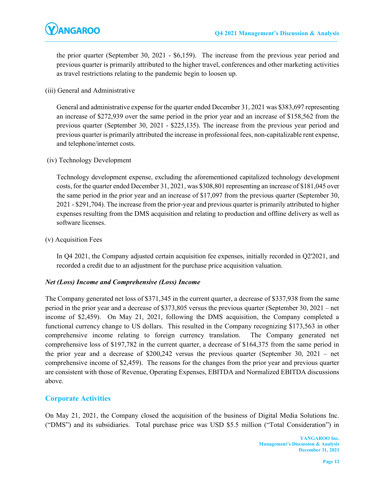

the prior quarter (September 30, 2021 - \$6,159). The increase from the previous year period and previous quarter is primarily attributed to the higher travel, conferences and other marketing activities as travel restrictions relating to the pandemic begin to loosen up.

(iii) General and Administrative

General and administrative expense for the quarter ended December 31, 2021 was \$383,697 representing an increase of \$272,939 over the same period in the prior year and an increase of \$158,562 from the previous quarter (September 30, 2021 - \$225,135). The increase from the previous year period and previous quarter is primarily attributed the increase in professional fees, non-capitalizable rent expense, and telephone/internet costs.

(iv) Technology Development

Technology development expense, excluding the aforementioned capitalized technology development costs, for the quarter ended December 31, 2021, was \$308,801 representing an increase of \$181,045 over the same period in the prior year and an increase of \$17,097 from the previous quarter (September 30, 2021 - \$291,704). The increase from the prior-year and previous quarter is primarily attributed to higher expenses resulting from the DMS acquisition and relating to production and offline delivery as well as software licenses.

(v) Acquisition Fees

In Q4 2021, the Company adjusted certain acquisition fee expenses, initially recorded in Q2'2021, and recorded a credit due to an adjustment for the purchase price acquisition valuation.

#### Net (Loss) Income and Comprehensive (Loss) Income

The Company generated net loss of \$371,345 in the current quarter, a decrease of \$337,938 from the same period in the prior year and a decrease of \$373,805 versus the previous quarter (September 30, 2021 – net income of \$2,459). On May 21, 2021, following the DMS acquisition, the Company completed a functional currency change to US dollars. This resulted in the Company recognizing \$173,563 in other comprehensive income relating to foreign currency translation. The Company generated net comprehensive loss of \$197,782 in the current quarter, a decrease of \$164,375 from the same period in the prior year and a decrease of \$200,242 versus the previous quarter (September 30, 2021 – net comprehensive income of \$2,459). The reasons for the changes from the prior year and previous quarter are consistent with those of Revenue, Operating Expenses, EBITDA and Normalized EBITDA discussions above.

# Corporate Activities

On May 21, 2021, the Company closed the acquisition of the business of Digital Media Solutions Inc. ("DMS") and its subsidiaries. Total purchase price was USD \$5.5 million ("Total Consideration") in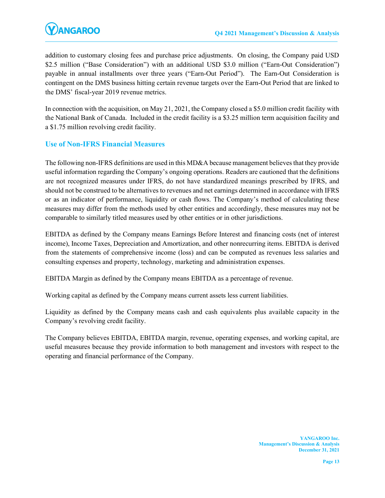addition to customary closing fees and purchase price adjustments. On closing, the Company paid USD \$2.5 million ("Base Consideration") with an additional USD \$3.0 million ("Earn-Out Consideration") payable in annual installments over three years ("Earn-Out Period"). The Earn-Out Consideration is contingent on the DMS business hitting certain revenue targets over the Earn-Out Period that are linked to the DMS' fiscal-year 2019 revenue metrics.

In connection with the acquisition, on May 21, 2021, the Company closed a \$5.0 million credit facility with the National Bank of Canada. Included in the credit facility is a \$3.25 million term acquisition facility and a \$1.75 million revolving credit facility.

# Use of Non-IFRS Financial Measures

The following non-IFRS definitions are used in this MD&A because management believes that they provide useful information regarding the Company's ongoing operations. Readers are cautioned that the definitions are not recognized measures under IFRS, do not have standardized meanings prescribed by IFRS, and should not be construed to be alternatives to revenues and net earnings determined in accordance with IFRS or as an indicator of performance, liquidity or cash flows. The Company's method of calculating these measures may differ from the methods used by other entities and accordingly, these measures may not be comparable to similarly titled measures used by other entities or in other jurisdictions.

EBITDA as defined by the Company means Earnings Before Interest and financing costs (net of interest income), Income Taxes, Depreciation and Amortization, and other nonrecurring items. EBITDA is derived from the statements of comprehensive income (loss) and can be computed as revenues less salaries and consulting expenses and property, technology, marketing and administration expenses.

EBITDA Margin as defined by the Company means EBITDA as a percentage of revenue.

Working capital as defined by the Company means current assets less current liabilities.

Liquidity as defined by the Company means cash and cash equivalents plus available capacity in the Company's revolving credit facility.

The Company believes EBITDA, EBITDA margin, revenue, operating expenses, and working capital, are useful measures because they provide information to both management and investors with respect to the operating and financial performance of the Company.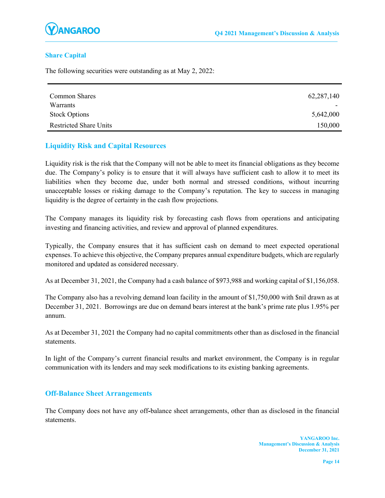

### Share Capital

The following securities were outstanding as at May 2, 2022:

| Common Shares                 | 62, 287, 140 |
|-------------------------------|--------------|
| Warrants                      |              |
| <b>Stock Options</b>          | 5,642,000    |
| <b>Restricted Share Units</b> | 150,000      |

### Liquidity Risk and Capital Resources

Liquidity risk is the risk that the Company will not be able to meet its financial obligations as they become due. The Company's policy is to ensure that it will always have sufficient cash to allow it to meet its liabilities when they become due, under both normal and stressed conditions, without incurring unacceptable losses or risking damage to the Company's reputation. The key to success in managing liquidity is the degree of certainty in the cash flow projections.

The Company manages its liquidity risk by forecasting cash flows from operations and anticipating investing and financing activities, and review and approval of planned expenditures.

Typically, the Company ensures that it has sufficient cash on demand to meet expected operational expenses. To achieve this objective, the Company prepares annual expenditure budgets, which are regularly monitored and updated as considered necessary.

As at December 31, 2021, the Company had a cash balance of \$973,988 and working capital of \$1,156,058.

The Company also has a revolving demand loan facility in the amount of \$1,750,000 with \$nil drawn as at December 31, 2021. Borrowings are due on demand bears interest at the bank's prime rate plus 1.95% per annum.

As at December 31, 2021 the Company had no capital commitments other than as disclosed in the financial statements.

In light of the Company's current financial results and market environment, the Company is in regular communication with its lenders and may seek modifications to its existing banking agreements.

### Off-Balance Sheet Arrangements

The Company does not have any off-balance sheet arrangements, other than as disclosed in the financial statements.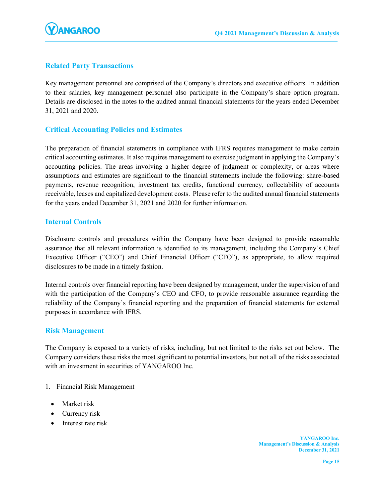

# Related Party Transactions

Key management personnel are comprised of the Company's directors and executive officers. In addition to their salaries, key management personnel also participate in the Company's share option program. Details are disclosed in the notes to the audited annual financial statements for the years ended December 31, 2021 and 2020.

# Critical Accounting Policies and Estimates

The preparation of financial statements in compliance with IFRS requires management to make certain critical accounting estimates. It also requires management to exercise judgment in applying the Company's accounting policies. The areas involving a higher degree of judgment or complexity, or areas where assumptions and estimates are significant to the financial statements include the following: share-based payments, revenue recognition, investment tax credits, functional currency, collectability of accounts receivable, leases and capitalized development costs. Please refer to the audited annual financial statements for the years ended December 31, 2021 and 2020 for further information.

### Internal Controls

Disclosure controls and procedures within the Company have been designed to provide reasonable assurance that all relevant information is identified to its management, including the Company's Chief Executive Officer ("CEO") and Chief Financial Officer ("CFO"), as appropriate, to allow required disclosures to be made in a timely fashion.

Internal controls over financial reporting have been designed by management, under the supervision of and with the participation of the Company's CEO and CFO, to provide reasonable assurance regarding the reliability of the Company's financial reporting and the preparation of financial statements for external purposes in accordance with IFRS.

#### Risk Management

The Company is exposed to a variety of risks, including, but not limited to the risks set out below. The Company considers these risks the most significant to potential investors, but not all of the risks associated with an investment in securities of YANGAROO Inc.

- 1. Financial Risk Management
	- Market risk
	- Currency risk
	- Interest rate risk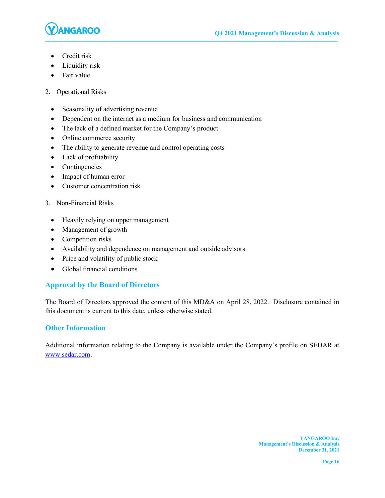

- Credit risk
- Liquidity risk
- Fair value
- 2. Operational Risks
	- Seasonality of advertising revenue
	- Dependent on the internet as a medium for business and communication
	- The lack of a defined market for the Company's product
	- Online commerce security
	- The ability to generate revenue and control operating costs
	- Lack of profitability
	- Contingencies
	- Impact of human error
	- Customer concentration risk
- 3. Non-Financial Risks
	- Heavily relying on upper management
	- Management of growth
	- Competition risks
	- Availability and dependence on management and outside advisors
	- Price and volatility of public stock
	- Global financial conditions

# Approval by the Board of Directors

The Board of Directors approved the content of this MD&A on April 28, 2022. Disclosure contained in this document is current to this date, unless otherwise stated.

# Other Information

Additional information relating to the Company is available under the Company's profile on SEDAR at www.sedar.com.